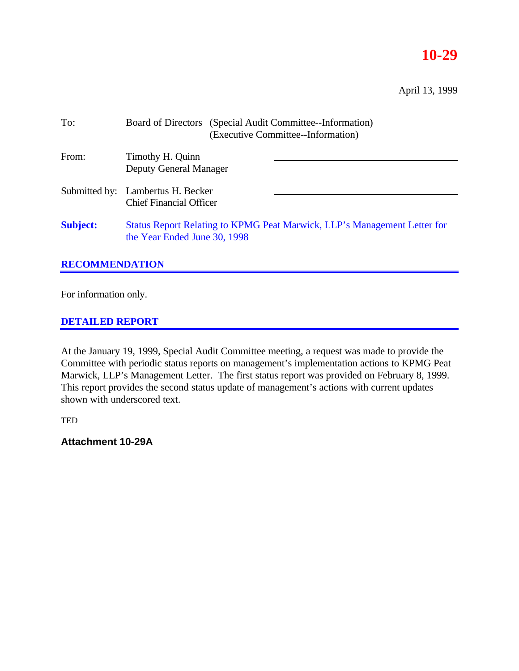# **10-29**

April 13, 1999

| To:             | Board of Directors (Special Audit Committee--Information)<br>(Executive Committee--Information)          |  |  |
|-----------------|----------------------------------------------------------------------------------------------------------|--|--|
| From:           | Timothy H. Quinn<br><b>Deputy General Manager</b>                                                        |  |  |
|                 | Submitted by: Lambertus H. Becker<br><b>Chief Financial Officer</b>                                      |  |  |
| <b>Subject:</b> | Status Report Relating to KPMG Peat Marwick, LLP's Management Letter for<br>the Year Ended June 30, 1998 |  |  |

## **RECOMMENDATION**

For information only.

### **DETAILED REPORT**

At the January 19, 1999, Special Audit Committee meeting, a request was made to provide the Committee with periodic status reports on management's implementation actions to KPMG Peat Marwick, LLP's Management Letter. The first status report was provided on February 8, 1999. This report provides the second status update of management's actions with current updates shown with underscored text.

**TED** 

**Attachment 10-29A**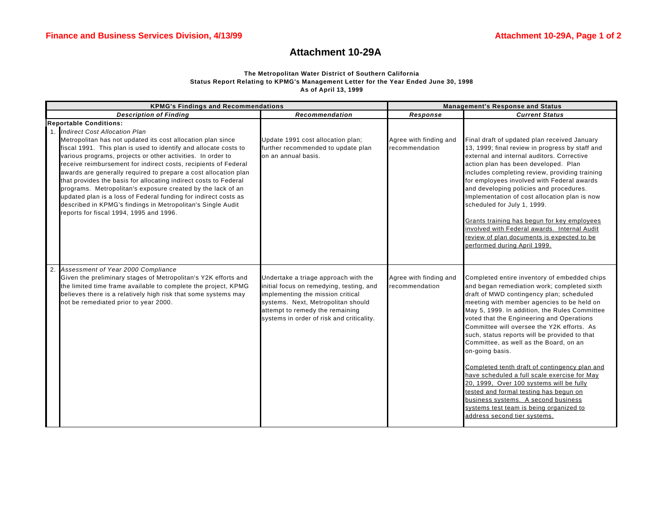#### **Attachment 10-29A**

#### **The Metropolitan Water District of Southern California Status Report Relating to KPMG's Management Letter for the Year Ended June 30, 1998 As of April 13, 1999**

| <b>KPMG's Findings and Recommendations</b>                                                                                                                                                                                                                                                                                                                                                                                                                                                                                                                                                                                                                                                                                | <b>Management's Response and Status</b>                                                                                                                                                                                                     |                                          |                                                                                                                                                                                                                                                                                                                                                                                                                                                                                                                                                                                                                                                                                                                                                          |
|---------------------------------------------------------------------------------------------------------------------------------------------------------------------------------------------------------------------------------------------------------------------------------------------------------------------------------------------------------------------------------------------------------------------------------------------------------------------------------------------------------------------------------------------------------------------------------------------------------------------------------------------------------------------------------------------------------------------------|---------------------------------------------------------------------------------------------------------------------------------------------------------------------------------------------------------------------------------------------|------------------------------------------|----------------------------------------------------------------------------------------------------------------------------------------------------------------------------------------------------------------------------------------------------------------------------------------------------------------------------------------------------------------------------------------------------------------------------------------------------------------------------------------------------------------------------------------------------------------------------------------------------------------------------------------------------------------------------------------------------------------------------------------------------------|
| <b>Description of Finding</b>                                                                                                                                                                                                                                                                                                                                                                                                                                                                                                                                                                                                                                                                                             | Recommendation                                                                                                                                                                                                                              | Response                                 | <b>Current Status</b>                                                                                                                                                                                                                                                                                                                                                                                                                                                                                                                                                                                                                                                                                                                                    |
| <b>Reportable Conditions:</b><br>1. Indirect Cost Allocation Plan<br>Metropolitan has not updated its cost allocation plan since<br>fiscal 1991. This plan is used to identify and allocate costs to<br>various programs, projects or other activities. In order to<br>receive reimbursement for indirect costs, recipients of Federal<br>awards are generally required to prepare a cost allocation plan<br>that provides the basis for allocating indirect costs to Federal<br>programs. Metropolitan's exposure created by the lack of an<br>updated plan is a loss of Federal funding for indirect costs as<br>described in KPMG's findings in Metropolitan's Single Audit<br>reports for fiscal 1994, 1995 and 1996. | Update 1991 cost allocation plan;<br>further recommended to update plan<br>on an annual basis.                                                                                                                                              | Agree with finding and<br>recommendation | Final draft of updated plan received January<br>13, 1999; final review in progress by staff and<br>external and internal auditors. Corrective<br>action plan has been developed. Plan<br>includes completing review, providing training<br>for employees involved with Federal awards<br>and developing policies and procedures.<br>Implementation of cost allocation plan is now<br>scheduled for July 1, 1999.<br>Grants training has begun for key employees<br>involved with Federal awards. Internal Audit<br>review of plan documents is expected to be<br>performed during April 1999.                                                                                                                                                            |
| 2. Assessment of Year 2000 Compliance<br>Given the preliminary stages of Metropolitan's Y2K efforts and<br>the limited time frame available to complete the project, KPMG<br>believes there is a relatively high risk that some systems may<br>not be remediated prior to year 2000.                                                                                                                                                                                                                                                                                                                                                                                                                                      | Undertake a triage approach with the<br>initial focus on remedying, testing, and<br>implementing the mission critical<br>systems. Next, Metropolitan should<br>attempt to remedy the remaining<br>systems in order of risk and criticality. | Agree with finding and<br>recommendation | Completed entire inventory of embedded chips<br>and began remediation work; completed sixth<br>draft of MWD contingency plan; scheduled<br>meeting with member agencies to be held on<br>May 5, 1999. In addition, the Rules Committee<br>voted that the Engineering and Operations<br>Committee will oversee the Y2K efforts. As<br>such, status reports will be provided to that<br>Committee, as well as the Board, on an<br>on-going basis.<br>Completed tenth draft of contingency plan and<br>have scheduled a full scale exercise for May<br>20, 1999, Over 100 systems will be fully<br>tested and formal testing has begun on<br>business systems. A second business<br>systems test team is being organized to<br>address second tier systems. |